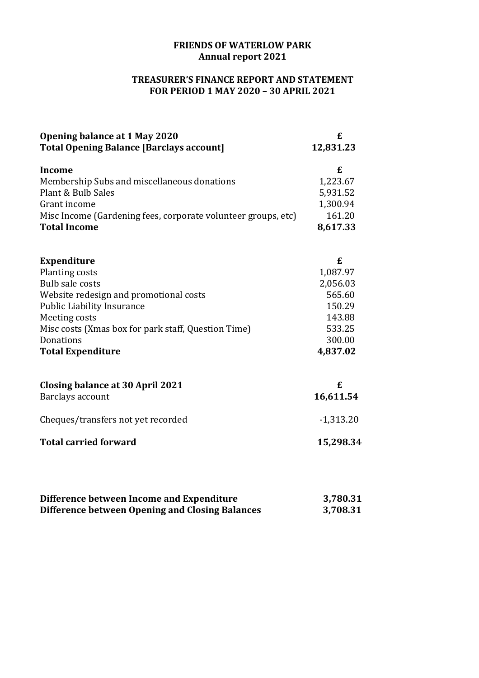## **FRIENDS OF WATERLOW PARK Annual report 2021**

## **TREASURER'S FINANCE REPORT AND STATEMENT FOR PERIOD 1 MAY 2020 – 30 APRIL 2021**

| Opening balance at 1 May 2020<br><b>Total Opening Balance [Barclays account]</b> | £<br>12,831.23 |
|----------------------------------------------------------------------------------|----------------|
| <b>Income</b>                                                                    | £              |
| Membership Subs and miscellaneous donations                                      | 1,223.67       |
| Plant & Bulb Sales                                                               | 5,931.52       |
| Grant income                                                                     | 1,300.94       |
| Misc Income (Gardening fees, corporate volunteer groups, etc)                    | 161.20         |
| <b>Total Income</b>                                                              | 8,617.33       |
| <b>Expenditure</b>                                                               | £              |
| Planting costs                                                                   | 1,087.97       |
| <b>Bulb sale costs</b>                                                           | 2,056.03       |
| Website redesign and promotional costs                                           | 565.60         |
| <b>Public Liability Insurance</b>                                                | 150.29         |
| Meeting costs                                                                    | 143.88         |
| Misc costs (Xmas box for park staff, Question Time)                              | 533.25         |
| Donations                                                                        | 300.00         |
| <b>Total Expenditure</b>                                                         | 4,837.02       |
| Closing balance at 30 April 2021                                                 | £              |
| Barclays account                                                                 | 16,611.54      |
| Cheques/transfers not yet recorded                                               | $-1,313.20$    |
| <b>Total carried forward</b>                                                     | 15,298.34      |
|                                                                                  |                |
|                                                                                  |                |

| Difference between Income and Expenditure       | 3,780.31 |
|-------------------------------------------------|----------|
| Difference between Opening and Closing Balances | 3,708.31 |